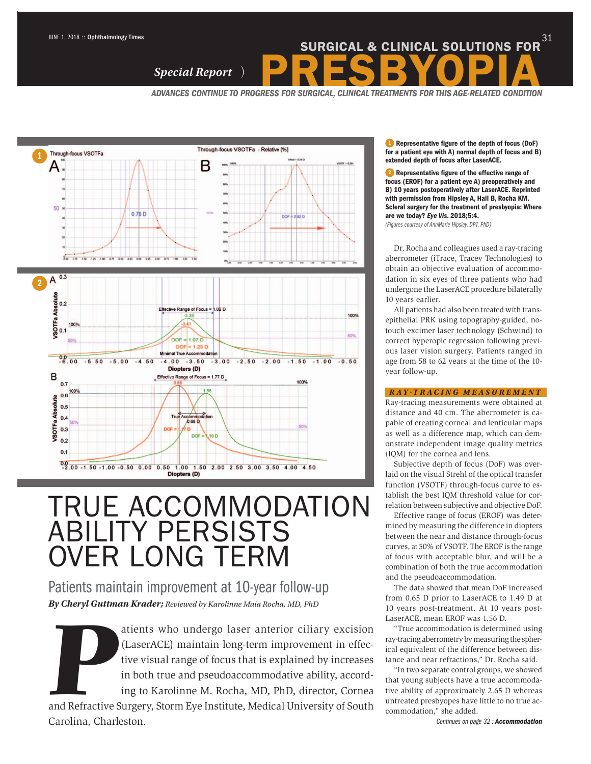# SURGICAL & CLINICAL SOLUTIONS FOR<sup>31</sup><br>Special Report ) PRESBYOPIA

*ADVANCES CONTINUE TO PROGRESS FOR SURGICAL, CLINICAL TREATMENTS FOR THIS AGE-RELATED CONDITION* 



## TRUE ACCOMMODATION ABILITY PERSISTS OVER LONG TERM

Patients maintain improvement at 10-year follow-up *By Cheryl Guttman Krader; Reviewed by Karolinne Maia Rocha, MD, PhD*

*By Cheryl Guttman Krader; Reviewed by Karolinne Maia Rocha, MD, PhD*<br>atients who undergo laser anterior ciliary excision<br>(LaserACE) maintain long-term improvement in effec-<br>tive visual range of focus that is explained by (LaserACE) maintain long-term improvement in effective visual range of focus that is explained by increases in both true and pseudoaccommodative ability, according to Karolinne M. Rocha, MD, PhD, director, Cornea

and Refractive Surgery, Storm Eye Institute, Medical University of South Carolina, Charleston.

1 Representative figure of the depth of focus (DoF) for a patient eye with A) normal depth of focus and B) extended depth of focus after LaserACE.

2 Representative figure of the effective range of focus (EROF) for a patient eye A) preoperatively and B) 10 years postoperatively after LaserACE. Reprinted with permission from Hipsley A, Hall B, Rocha KM. Scleral surgery for the treatment of presbyopia: Where are we today? *Eye Vis*. 2018;5:4.

*(Figures courtesy of AnnMarie Hipsley, DPT, PhD)*

Dr. Rocha and colleagues used a ray-tracing aberrometer (iTrace, Tracey Technologies) to obtain an objective evaluation of accommodation in six eyes of three patients who had undergone the LaserACE procedure bilaterally 10 years earlier.

All patients had also been treated with transepithelial PRK using topography-guided, notouch excimer laser technology (Schwind) to correct hyperopic regression following previous laser vision surgery. Patients ranged in age from 58 to 62 years at the time of the 10 year follow-up.

#### *RAY TRACING MEASUREMENT*

Ray-tracing measurements were obtained at distance and 40 cm. The aberrometer is capable of creating corneal and lenticular maps as well as a difference map, which can demonstrate independent image quality metrics (IQM) for the cornea and lens.

Subjective depth of focus (DoF) was overlaid on the visual Strehl of the optical transfer function (VSOTF) through-focus curve to establish the best IQM threshold value for correlation between subjective and objective DoF.

Effective range of focus (EROF) was determined by measuring the difference in diopters between the near and distance through-focus curves, at 50% of VSOTF. The EROF is the range of focus with acceptable blur, and will be a combination of both the true accommodation and the pseudoaccommodation.

The data showed that mean DoF increased from 0.65 D prior to LaserACE to 1.49 D at 10 years post-treatment. At 10 years post-LaserACE, mean EROF was 1.56 D.

"True accommodation is determined using ray-tracing aberrometry by measuring the spherical equivalent of the difference between distance and near refractions," Dr. Rocha said.

"In two separate control groups, we showed that young subjects have a true accommodative ability of approximately 2.65 D whereas untreated presbyopes have little to no true accommodation," she added.

*Continues on page 32 : Accommodation*